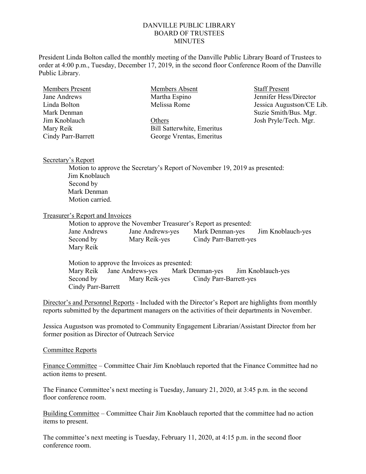## DANVILLE PUBLIC LIBRARY BOARD OF TRUSTEES **MINUTES**

President Linda Bolton called the monthly meeting of the Danville Public Library Board of Trustees to order at 4:00 p.m., Tuesday, December 17, 2019, in the second floor Conference Room of the Danville Public Library.

| <b>Members Present</b> | Members Absent                    | <b>Staff Present</b>      |  |
|------------------------|-----------------------------------|---------------------------|--|
| Jane Andrews           | Martha Espino                     | Jennifer Hess/Director    |  |
| Linda Bolton           | Melissa Rome                      | Jessica Augustson/CE Lib. |  |
| Mark Denman            |                                   | Suzie Smith/Bus. Mgr.     |  |
| Jim Knoblauch          | Others                            | Josh Pryle/Tech. Mgr.     |  |
| Mary Reik              | <b>Bill Satterwhite, Emeritus</b> |                           |  |
| Cindy Parr-Barrett     | George Vrentas, Emeritus          |                           |  |

## Secretary's Report

 Motion to approve the Secretary's Report of November 19, 2019 as presented: Jim Knoblauch Second by Mark Denman Motion carried.

## Treasurer's Report and Invoices

| Motion to approve the November Treasurer's Report as presented: |                  |                                   |  |  |  |
|-----------------------------------------------------------------|------------------|-----------------------------------|--|--|--|
| Jane Andrews                                                    | Jane Andrews-yes | Mark Denman-yes Jim Knoblauch-yes |  |  |  |
| Second by                                                       | Mary Reik-yes    | Cindy Parr-Barrett-yes            |  |  |  |
| Mary Reik                                                       |                  |                                   |  |  |  |

Motion to approve the Invoices as presented: Mary Reik Jane Andrews-yes Mark Denman-yes Jim Knoblauch-yes Second by Mary Reik-yes Cindy Parr-Barrett-yes Cindy Parr-Barrett

Director's and Personnel Reports - Included with the Director's Report are highlights from monthly reports submitted by the department managers on the activities of their departments in November.

Jessica Augustson was promoted to Community Engagement Librarian/Assistant Director from her former position as Director of Outreach Service

## Committee Reports

Finance Committee – Committee Chair Jim Knoblauch reported that the Finance Committee had no action items to present.

The Finance Committee's next meeting is Tuesday, January 21, 2020, at 3:45 p.m. in the second floor conference room.

Building Committee – Committee Chair Jim Knoblauch reported that the committee had no action items to present.

The committee's next meeting is Tuesday, February 11, 2020, at 4:15 p.m. in the second floor conference room.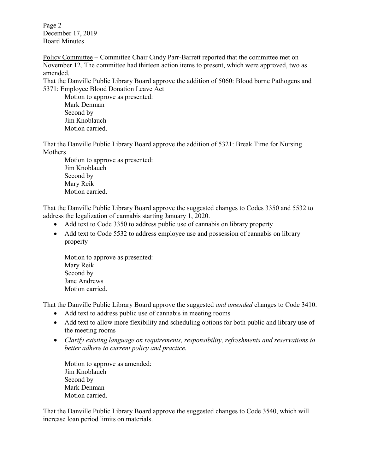Page 2 December 17, 2019 Board Minutes

Policy Committee – Committee Chair Cindy Parr-Barrett reported that the committee met on November 12. The committee had thirteen action items to present, which were approved, two as amended.

That the Danville Public Library Board approve the addition of 5060: Blood borne Pathogens and 5371: Employee Blood Donation Leave Act

 Motion to approve as presented: Mark Denman Second by Jim Knoblauch Motion carried.

That the Danville Public Library Board approve the addition of 5321: Break Time for Nursing Mothers

 Motion to approve as presented: Jim Knoblauch Second by Mary Reik Motion carried.

That the Danville Public Library Board approve the suggested changes to Codes 3350 and 5532 to address the legalization of cannabis starting January 1, 2020.

- Add text to Code 3350 to address public use of cannabis on library property
- Add text to Code 5532 to address employee use and possession of cannabis on library property

Motion to approve as presented: Mary Reik Second by Jane Andrews Motion carried.

That the Danville Public Library Board approve the suggested *and amended* changes to Code 3410.

- Add text to address public use of cannabis in meeting rooms
- Add text to allow more flexibility and scheduling options for both public and library use of the meeting rooms
- Clarify existing language on requirements, responsibility, refreshments and reservations to better adhere to current policy and practice.

Motion to approve as amended: Jim Knoblauch Second by Mark Denman Motion carried.

That the Danville Public Library Board approve the suggested changes to Code 3540, which will increase loan period limits on materials.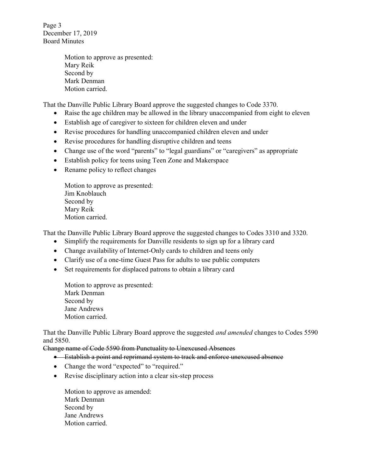Page 3 December 17, 2019 Board Minutes

> Motion to approve as presented: Mary Reik Second by Mark Denman Motion carried.

That the Danville Public Library Board approve the suggested changes to Code 3370.

- Raise the age children may be allowed in the library unaccompanied from eight to eleven
- Establish age of caregiver to sixteen for children eleven and under
- Revise procedures for handling unaccompanied children eleven and under
- Revise procedures for handling disruptive children and teens
- Change use of the word "parents" to "legal guardians" or "caregivers" as appropriate
- Establish policy for teens using Teen Zone and Makerspace
- Rename policy to reflect changes

Motion to approve as presented: Jim Knoblauch Second by Mary Reik Motion carried.

That the Danville Public Library Board approve the suggested changes to Codes 3310 and 3320.

- Simplify the requirements for Danville residents to sign up for a library card
- Change availability of Internet-Only cards to children and teens only
- Clarify use of a one-time Guest Pass for adults to use public computers
- Set requirements for displaced patrons to obtain a library card

Motion to approve as presented: Mark Denman Second by Jane Andrews Motion carried.

That the Danville Public Library Board approve the suggested and amended changes to Codes 5590 and 5850.

Change name of Code 5590 from Punctuality to Unexcused Absences

- Establish a point and reprimand system to track and enforce unexcused absence
- Change the word "expected" to "required."
- Revise disciplinary action into a clear six-step process

Motion to approve as amended: Mark Denman Second by Jane Andrews Motion carried.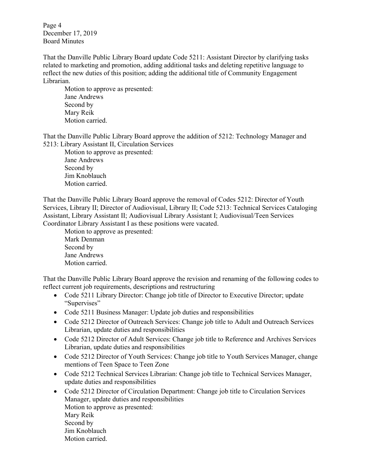Page 4 December 17, 2019 Board Minutes

That the Danville Public Library Board update Code 5211: Assistant Director by clarifying tasks related to marketing and promotion, adding additional tasks and deleting repetitive language to reflect the new duties of this position; adding the additional title of Community Engagement Librarian.

 Motion to approve as presented: Jane Andrews Second by Mary Reik Motion carried.

That the Danville Public Library Board approve the addition of 5212: Technology Manager and 5213: Library Assistant II, Circulation Services

 Motion to approve as presented: Jane Andrews Second by Jim Knoblauch Motion carried.

That the Danville Public Library Board approve the removal of Codes 5212: Director of Youth Services, Library II; Director of Audiovisual, Library II; Code 5213: Technical Services Cataloging Assistant, Library Assistant II; Audiovisual Library Assistant I; Audiovisual/Teen Services Coordinator Library Assistant I as these positions were vacated.

 Motion to approve as presented: Mark Denman Second by Jane Andrews Motion carried.

That the Danville Public Library Board approve the revision and renaming of the following codes to reflect current job requirements, descriptions and restructuring

- Code 5211 Library Director: Change job title of Director to Executive Director; update "Supervises"
- Code 5211 Business Manager: Update job duties and responsibilities
- Code 5212 Director of Outreach Services: Change job title to Adult and Outreach Services Librarian, update duties and responsibilities
- Code 5212 Director of Adult Services: Change job title to Reference and Archives Services Librarian, update duties and responsibilities
- Code 5212 Director of Youth Services: Change job title to Youth Services Manager, change mentions of Teen Space to Teen Zone
- Code 5212 Technical Services Librarian: Change job title to Technical Services Manager, update duties and responsibilities
- Code 5212 Director of Circulation Department: Change job title to Circulation Services Manager, update duties and responsibilities Motion to approve as presented: Mary Reik Second by Jim Knoblauch Motion carried.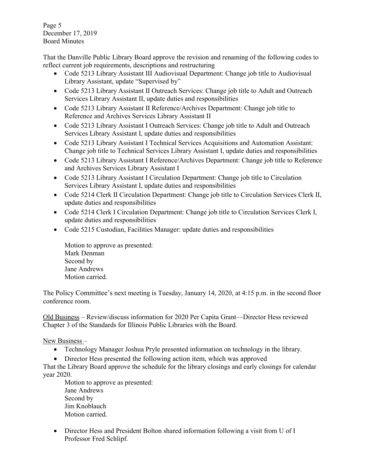Page 5 December 17, 2019 Board Minutes

That the Danville Public Library Board approve the revision and renaming of the following codes to reflect current job requirements, descriptions and restructuring

- Code 5213 Library Assistant III Audiovisual Department: Change job title to Audiovisual Library Assistant, update "Supervised by"
- Code 5213 Library Assistant II Outreach Services: Change job title to Adult and Outreach Services Library Assistant II, update duties and responsibilities
- Code 5213 Library Assistant II Reference/Archives Department: Change job title to Reference and Archives Services Library Assistant II
- Code 5213 Library Assistant I Outreach Services: Change job title to Adult and Outreach Services Library Assistant I, update duties and responsibilities
- Code 5213 Library Assistant I Technical Services Acquisitions and Automation Assistant: Change job title to Technical Services Library Assistant I, update duties and responsibilities
- Code 5213 Library Assistant I Reference/Archives Department: Change job title to Reference and Archives Services Library Assistant I
- Code 5213 Library Assistant I Circulation Department: Change job title to Circulation Services Library Assistant I, update duties and responsibilities
- Code 5214 Clerk II Circulation Department: Change job title to Circulation Services Clerk II, update duties and responsibilities
- Code 5214 Clerk I Circulation Department: Change job title to Circulation Services Clerk I, update duties and responsibilities
- Code 5215 Custodian, Facilities Manager: update duties and responsibilities

Motion to approve as presented: Mark Denman Second by Jane Andrews Motion carried.

The Policy Committee's next meeting is Tuesday, January 14, 2020, at 4:15 p.m. in the second floor conference room.

Old Business – Review/discuss information for 2020 Per Capita Grant—Director Hess reviewed Chapter 3 of the Standards for Illinois Public Libraries with the Board.

New Business –

- Technology Manager Joshua Pryle presented information on technology in the library.
- Director Hess presented the following action item, which was approved

That the Library Board approve the schedule for the library closings and early closings for calendar year 2020.

 Motion to approve as presented: Jane Andrews Second by Jim Knoblauch Motion carried.

 Director Hess and President Bolton shared information following a visit from U of I Professor Fred Schlipf.